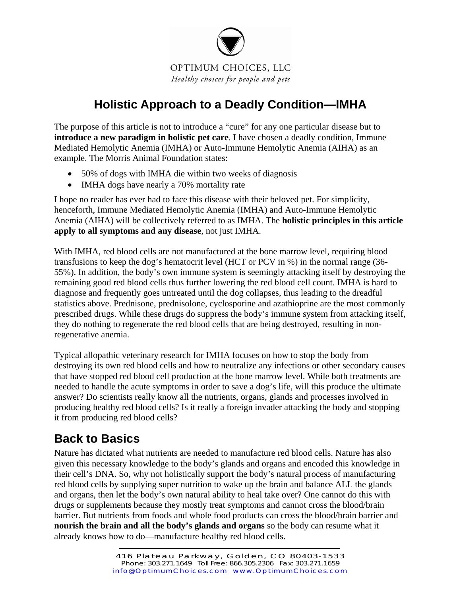

# **Holistic Approach to a Deadly Condition—IMHA**

The purpose of this article is not to introduce a "cure" for any one particular disease but to **introduce a new paradigm in holistic pet care**. I have chosen a deadly condition, Immune Mediated Hemolytic Anemia (IMHA) or Auto-Immune Hemolytic Anemia (AIHA) as an example. The Morris Animal Foundation states:

- 50% of dogs with IMHA die within two weeks of diagnosis
- IMHA dogs have nearly a 70% mortality rate

I hope no reader has ever had to face this disease with their beloved pet. For simplicity, henceforth, Immune Mediated Hemolytic Anemia (IMHA) and Auto-Immune Hemolytic Anemia (AIHA) will be collectively referred to as IMHA. The **holistic principles in this article apply to all symptoms and any disease**, not just IMHA.

With IMHA, red blood cells are not manufactured at the bone marrow level, requiring blood transfusions to keep the dog's hematocrit level (HCT or PCV in %) in the normal range (36- 55%). In addition, the body's own immune system is seemingly attacking itself by destroying the remaining good red blood cells thus further lowering the red blood cell count. IMHA is hard to diagnose and frequently goes untreated until the dog collapses, thus leading to the dreadful statistics above. Prednisone, prednisolone, cyclosporine and azathioprine are the most commonly prescribed drugs. While these drugs do suppress the body's immune system from attacking itself, they do nothing to regenerate the red blood cells that are being destroyed, resulting in nonregenerative anemia.

Typical allopathic veterinary research for IMHA focuses on how to stop the body from destroying its own red blood cells and how to neutralize any infections or other secondary causes that have stopped red blood cell production at the bone marrow level. While both treatments are needed to handle the acute symptoms in order to save a dog's life, will this produce the ultimate answer? Do scientists really know all the nutrients, organs, glands and processes involved in producing healthy red blood cells? Is it really a foreign invader attacking the body and stopping it from producing red blood cells?

## **Back to Basics**

Nature has dictated what nutrients are needed to manufacture red blood cells. Nature has also given this necessary knowledge to the body's glands and organs and encoded this knowledge in their cell's DNA. So, why not holistically support the body's natural process of manufacturing red blood cells by supplying super nutrition to wake up the brain and balance ALL the glands and organs, then let the body's own natural ability to heal take over? One cannot do this with drugs or supplements because they mostly treat symptoms and cannot cross the blood/brain barrier. But nutrients from foods and whole food products can cross the blood/brain barrier and **nourish the brain and all the body's glands and organs** so the body can resume what it already knows how to do—manufacture healthy red blood cells.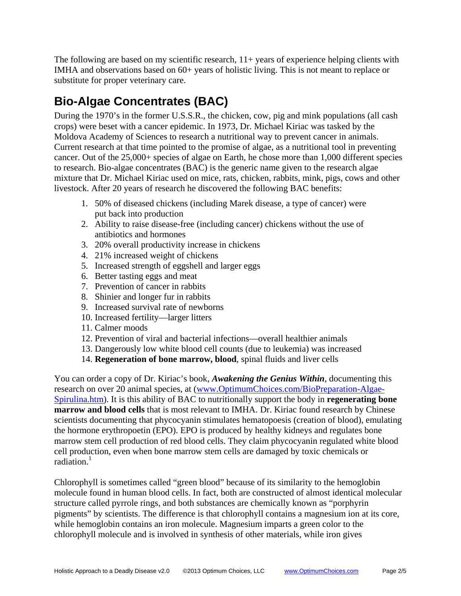The following are based on my scientific research,  $11+$  years of experience helping clients with IMHA and observations based on 60+ years of holistic living. This is not meant to replace or substitute for proper veterinary care.

# 0B**Bio-Algae Concentrates (BAC)**

During the 1970's in the former U.S.S.R., the chicken, cow, pig and mink populations (all cash crops) were beset with a cancer epidemic. In 1973, Dr. Michael Kiriac was tasked by the Moldova Academy of Sciences to research a nutritional way to prevent cancer in animals. Current research at that time pointed to the promise of algae, as a nutritional tool in preventing cancer. Out of the 25,000+ species of algae on Earth, he chose more than 1,000 different species to research. Bio-algae concentrates (BAC) is the generic name given to the research algae mixture that Dr. Michael Kiriac used on mice, rats, chicken, rabbits, mink, pigs, cows and other livestock. After 20 years of research he discovered the following BAC benefits:

- 1. 50% of diseased chickens (including Marek disease, a type of cancer) were put back into production
- 2. Ability to raise disease-free (including cancer) chickens without the use of antibiotics and hormones
- 3. 20% overall productivity increase in chickens
- 4. 21% increased weight of chickens
- 5. Increased strength of eggshell and larger eggs
- 6. Better tasting eggs and meat
- 7. Prevention of cancer in rabbits
- 8. Shinier and longer fur in rabbits
- 9. Increased survival rate of newborns
- 10. Increased fertility—larger litters
- 11. Calmer moods
- 12. Prevention of viral and bacterial infections—overall healthier animals
- 13. Dangerously low white blood cell counts (due to leukemia) was increased
- 14. **Regeneration of bone marrow, blood**, spinal fluids and liver cells

You can order a copy of Dr. Kiriac's book, *Awakening the Genius Within*, documenting this research on over 20 animal species, at (www.OptimumChoices.com/BioPreparation-Algae-Spirulina.htm). It is this ability of BAC to nutritionally support the body in **regenerating bone marrow and blood cells** that is most relevant to IMHA. Dr. Kiriac found research by Chinese scientists documenting that phycocyanin stimulates hematopoesis (creation of blood), emulating the hormone erythropoetin (EPO). EPO is produced by healthy kidneys and regulates bone marrow stem cell production of red blood cells. They claim phycocyanin regulated white blood cell production, even when bone marrow stem cells are damaged by toxic chemicals or radiation $1$ 

Chlorophyll is sometimes called "green blood" because of its similarity to the hemoglobin molecule found in human blood cells. In fact, both are constructed of almost identical molecular structure called pyrrole rings, and both substances are chemically known as "porphyrin pigments" by scientists. The difference is that chlorophyll contains a magnesium ion at its core, while hemoglobin contains an iron molecule. Magnesium imparts a green color to the chlorophyll molecule and is involved in synthesis of other materials, while iron gives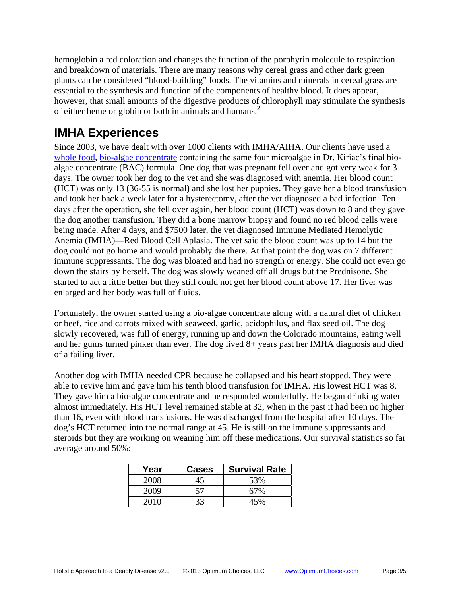hemoglobin a red coloration and changes the function of the porphyrin molecule to respiration and breakdown of materials. There are many reasons why cereal grass and other dark green plants can be considered "blood-building" foods. The vitamins and minerals in cereal grass are essential to the synthesis and function of the components of healthy blood. It does appear, however, that small amounts of the digestive products of chlorophyll may stimulate the synthesis of either heme or globin or both in animals and humans.<sup>2</sup>

#### **IMHA Experiences**

Since 2003, we have dealt with over 1000 clients with IMHA/AIHA. Our clients have used a whole food, bio-algae concentrate containing the same four microalgae in Dr. Kiriac's final bioalgae concentrate (BAC) formula. One dog that was pregnant fell over and got very weak for 3 days. The owner took her dog to the vet and she was diagnosed with anemia. Her blood count (HCT) was only 13 (36-55 is normal) and she lost her puppies. They gave her a blood transfusion and took her back a week later for a hysterectomy, after the vet diagnosed a bad infection. Ten days after the operation, she fell over again, her blood count (HCT) was down to 8 and they gave the dog another transfusion. They did a bone marrow biopsy and found no red blood cells were being made. After 4 days, and \$7500 later, the vet diagnosed Immune Mediated Hemolytic Anemia (IMHA)—Red Blood Cell Aplasia. The vet said the blood count was up to 14 but the dog could not go home and would probably die there. At that point the dog was on 7 different immune suppressants. The dog was bloated and had no strength or energy. She could not even go down the stairs by herself. The dog was slowly weaned off all drugs but the Prednisone. She started to act a little better but they still could not get her blood count above 17. Her liver was enlarged and her body was full of fluids.

Fortunately, the owner started using a bio-algae concentrate along with a natural diet of chicken or beef, rice and carrots mixed with seaweed, garlic, acidophilus, and flax seed oil. The dog slowly recovered, was full of energy, running up and down the Colorado mountains, eating well and her gums turned pinker than ever. The dog lived 8+ years past her IMHA diagnosis and died of a failing liver.

Another dog with IMHA needed CPR because he collapsed and his heart stopped. They were able to revive him and gave him his tenth blood transfusion for IMHA. His lowest HCT was 8. They gave him a bio-algae concentrate and he responded wonderfully. He began drinking water almost immediately. His HCT level remained stable at 32, when in the past it had been no higher than 16, even with blood transfusions. He was discharged from the hospital after 10 days. The dog's HCT returned into the normal range at 45. He is still on the immune suppressants and steroids but they are working on weaning him off these medications. Our survival statistics so far average around 50%:

| Year | <b>Cases</b> | <b>Survival Rate</b> |
|------|--------------|----------------------|
| 2008 | 45           | 53%                  |
| 2009 | 57           | 67%                  |
| 2010 | 33           | 45%                  |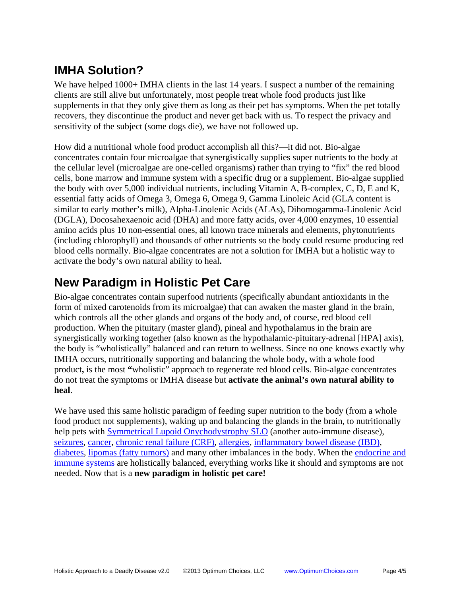### **IMHA Solution?**

We have helped 1000+ IMHA clients in the last 14 years. I suspect a number of the remaining clients are still alive but unfortunately, most people treat whole food products just like supplements in that they only give them as long as their pet has symptoms. When the pet totally recovers, they discontinue the product and never get back with us. To respect the privacy and sensitivity of the subject (some dogs die), we have not followed up.

How did a nutritional whole food product accomplish all this?—it did not. Bio-algae concentrates contain four microalgae that synergistically supplies super nutrients to the body at the cellular level (microalgae are one-celled organisms) rather than trying to "fix" the red blood cells, bone marrow and immune system with a specific drug or a supplement. Bio-algae supplied the body with over 5,000 individual nutrients, including Vitamin A, B-complex, C, D, E and K, essential fatty acids of Omega 3, Omega 6, Omega 9, Gamma Linoleic Acid (GLA content is similar to early mother's milk), Alpha-Linolenic Acids (ALAs), Dihomogamma-Linolenic Acid (DGLA), Docosahexaenoic acid (DHA) and more fatty acids, over 4,000 enzymes, 10 essential amino acids plus 10 non-essential ones, all known trace minerals and elements, phytonutrients (including chlorophyll) and thousands of other nutrients so the body could resume producing red blood cells normally. Bio-algae concentrates are not a solution for IMHA but a holistic way to activate the body's own natural ability to heal**.**

### **New Paradigm in Holistic Pet Care**

Bio-algae concentrates contain superfood nutrients (specifically abundant antioxidants in the form of mixed carotenoids from its microalgae) that can awaken the master gland in the brain, which controls all the other glands and organs of the body and, of course, red blood cell production. When the pituitary (master gland), pineal and hypothalamus in the brain are synergistically working together (also known as the hypothalamic-pituitary-adrenal [HPA] axis), the body is "wholistically" balanced and can return to wellness. Since no one knows exactly why IMHA occurs, nutritionally supporting and balancing the whole body**,** with a whole food product**,** is the most **"**wholistic" approach to regenerate red blood cells. Bio-algae concentrates do not treat the symptoms or IMHA disease but **activate the animal's own natural ability to heal**.

We have used this same holistic paradigm of feeding super nutrition to the body (from a whole food product not supplements), waking up and balancing the glands in the brain, to nutritionally help pets with Symmetrical Lupoid Onychodystrophy SLO (another auto-immune disease), seizures, cancer, chronic renal failure (CRF), allergies, inflammatory bowel disease (IBD), diabetes, lipomas (fatty tumors) and many other imbalances in the body. When the endocrine and immune systems are holistically balanced, everything works like it should and symptoms are not needed. Now that is a **new paradigm in holistic pet care!**